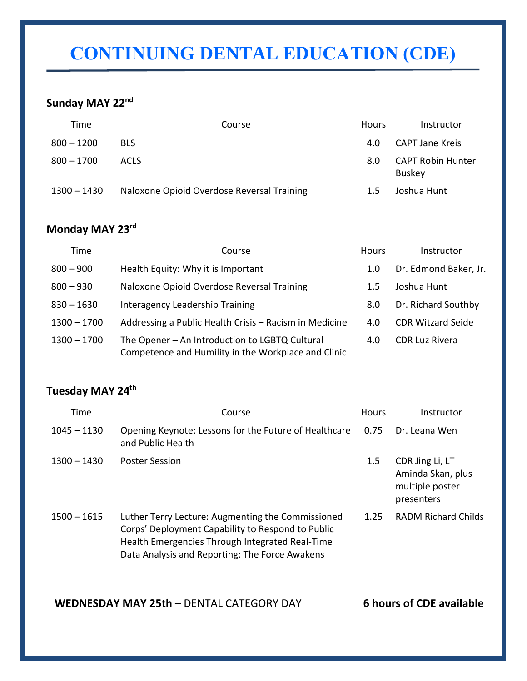# **CONTINUING DENTAL EDUCATION (CDE)**

### **Sunday MAY 22nd**

| Time         | Course                                     | <b>Hours</b> | Instructor                                |
|--------------|--------------------------------------------|--------------|-------------------------------------------|
| $800 - 1200$ | <b>BLS</b>                                 | 4.0          | <b>CAPT Jane Kreis</b>                    |
| $800 - 1700$ | <b>ACLS</b>                                | 8.0          | <b>CAPT Robin Hunter</b><br><b>Buskey</b> |
| 1300 – 1430  | Naloxone Opioid Overdose Reversal Training | $1.5\,$      | Joshua Hunt                               |

### **Monday MAY 23rd**

| Time          | Course                                                                                                | <b>Hours</b> | Instructor               |
|---------------|-------------------------------------------------------------------------------------------------------|--------------|--------------------------|
| $800 - 900$   | Health Equity: Why it is Important                                                                    | 1.0          | Dr. Edmond Baker, Jr.    |
| $800 - 930$   | Naloxone Opioid Overdose Reversal Training                                                            | 1.5          | Joshua Hunt              |
| $830 - 1630$  | Interagency Leadership Training                                                                       | 8.0          | Dr. Richard Southby      |
| $1300 - 1700$ | Addressing a Public Health Crisis - Racism in Medicine                                                | 4.0          | <b>CDR Witzard Seide</b> |
| $1300 - 1700$ | The Opener - An Introduction to LGBTQ Cultural<br>Competence and Humility in the Workplace and Clinic | 4.0          | <b>CDR Luz Rivera</b>    |

## **Tuesday MAY 24th**

| Time          | Course                                                                                                                                                                                                      | <b>Hours</b> | Instructor                                                            |
|---------------|-------------------------------------------------------------------------------------------------------------------------------------------------------------------------------------------------------------|--------------|-----------------------------------------------------------------------|
| $1045 - 1130$ | Opening Keynote: Lessons for the Future of Healthcare<br>and Public Health                                                                                                                                  | 0.75         | Dr. Leana Wen                                                         |
| $1300 - 1430$ | <b>Poster Session</b>                                                                                                                                                                                       | 1.5          | CDR Jing Li, LT<br>Aminda Skan, plus<br>multiple poster<br>presenters |
| $1500 - 1615$ | Luther Terry Lecture: Augmenting the Commissioned<br>Corps' Deployment Capability to Respond to Public<br>Health Emergencies Through Integrated Real-Time<br>Data Analysis and Reporting: The Force Awakens | 1.25         | <b>RADM Richard Childs</b>                                            |

**WEDNESDAY MAY 25th** – DENTAL CATEGORY DAY **6 hours of CDE available**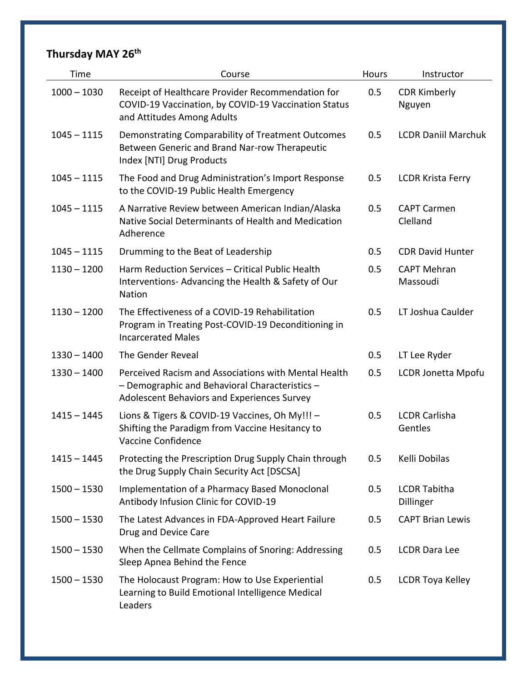# **Thursday MAY 26th**

| Time          | Course                                                                                                                                                | <b>Hours</b> | Instructor                       |
|---------------|-------------------------------------------------------------------------------------------------------------------------------------------------------|--------------|----------------------------------|
| $1000 - 1030$ | Receipt of Healthcare Provider Recommendation for<br>COVID-19 Vaccination, by COVID-19 Vaccination Status<br>and Attitudes Among Adults               | 0.5          | <b>CDR Kimberly</b><br>Nguyen    |
| $1045 - 1115$ | Demonstrating Comparability of Treatment Outcomes<br>Between Generic and Brand Nar-row Therapeutic<br>Index [NTI] Drug Products                       | 0.5          | <b>LCDR Daniil Marchuk</b>       |
| $1045 - 1115$ | The Food and Drug Administration's Import Response<br>to the COVID-19 Public Health Emergency                                                         | 0.5          | <b>LCDR Krista Ferry</b>         |
| $1045 - 1115$ | A Narrative Review between American Indian/Alaska<br>Native Social Determinants of Health and Medication<br>Adherence                                 | 0.5          | <b>CAPT Carmen</b><br>Clelland   |
| $1045 - 1115$ | Drumming to the Beat of Leadership                                                                                                                    | 0.5          | <b>CDR David Hunter</b>          |
| $1130 - 1200$ | Harm Reduction Services - Critical Public Health<br>Interventions-Advancing the Health & Safety of Our<br><b>Nation</b>                               | 0.5          | <b>CAPT Mehran</b><br>Massoudi   |
| $1130 - 1200$ | The Effectiveness of a COVID-19 Rehabilitation<br>Program in Treating Post-COVID-19 Deconditioning in<br><b>Incarcerated Males</b>                    | 0.5          | LT Joshua Caulder                |
| $1330 - 1400$ | The Gender Reveal                                                                                                                                     | 0.5          | LT Lee Ryder                     |
| $1330 - 1400$ | Perceived Racism and Associations with Mental Health<br>- Demographic and Behavioral Characteristics -<br>Adolescent Behaviors and Experiences Survey | 0.5          | LCDR Jonetta Mpofu               |
| $1415 - 1445$ | Lions & Tigers & COVID-19 Vaccines, Oh My!!! -<br>Shifting the Paradigm from Vaccine Hesitancy to<br>Vaccine Confidence                               | 0.5          | <b>LCDR Carlisha</b><br>Gentles  |
| $1415 - 1445$ | Protecting the Prescription Drug Supply Chain through<br>the Drug Supply Chain Security Act [DSCSA]                                                   | 0.5          | Kelli Dobilas                    |
| $1500 - 1530$ | Implementation of a Pharmacy Based Monoclonal<br>Antibody Infusion Clinic for COVID-19                                                                | 0.5          | <b>LCDR Tabitha</b><br>Dillinger |
| $1500 - 1530$ | The Latest Advances in FDA-Approved Heart Failure<br>Drug and Device Care                                                                             | 0.5          | <b>CAPT Brian Lewis</b>          |
| $1500 - 1530$ | When the Cellmate Complains of Snoring: Addressing<br>Sleep Apnea Behind the Fence                                                                    | 0.5          | <b>LCDR Dara Lee</b>             |
| $1500 - 1530$ | The Holocaust Program: How to Use Experiential<br>Learning to Build Emotional Intelligence Medical<br>Leaders                                         | 0.5          | <b>LCDR Toya Kelley</b>          |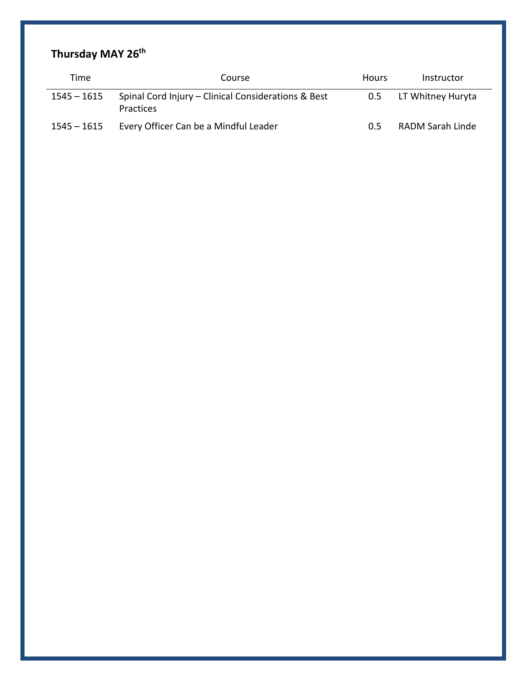## **Thursday MAY 26th**

| Time          | Course                                                                  | <b>Hours</b> | Instructor              |  |
|---------------|-------------------------------------------------------------------------|--------------|-------------------------|--|
| 1545 – 1615   | Spinal Cord Injury – Clinical Considerations & Best<br><b>Practices</b> | 0.5          | LT Whitney Huryta       |  |
| $1545 - 1615$ | Every Officer Can be a Mindful Leader                                   | 0.5          | <b>RADM Sarah Linde</b> |  |